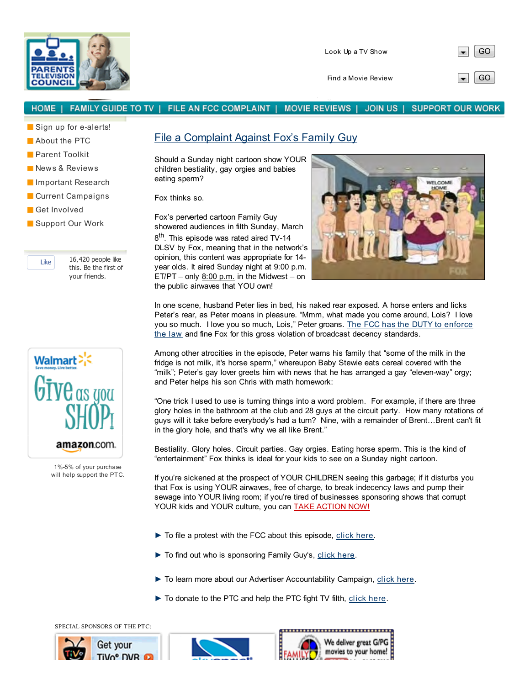

Find a Movie Review  $\Box$  GO

## FAMILY GUIDE TO TV | FILE AN FCC COMPLAINT | **HOME** MOVIE REVIEWS | JOIN US | **SUPPORT OUR WORK**

Sign up for e-alerts!

**About the PTC** 

**Parent Toolkit** 

- News & Reviews
- **Important Research**
- **Current Campaigns**
- Get Involved
- Support Our Work

Like  $16,420$  people like this. Be the first of your friends.



1%-5% of your purchase will help support the PTC.

## File a Complaint Against Fox's Family Guy

Should a Sunday night cartoon show YOUR children bestiality, gay orgies and babies eating sperm?

Fox thinks so.

Fox's perverted cartoon Family Guy showered audiences in filth Sunday, March 8<sup>th</sup>. This episode was rated aired TV-14 DLSV by Fox, meaning that in the network's opinion, this content was appropriate for 14 year olds. It aired Sunday night at 9:00 p.m.  $ET/PT - only 8:00 p.m.$  in the Midwest – on the public airwaves that YOU own!



In one scene, husband Peter lies in bed, his naked rear exposed. A horse enters and licks Peter's rear, as Peter moans in pleasure. "Mmm, what made you come around, Lois? I love you so much. I love you so much, Lois," Peter groans. The FCC has the DUTY to enforce the law and fine Fox for this gross violation of broadcast decency standards.

Among other atrocities in the episode, Peter warns his family that "some of the milk in the fridge is not milk, it's horse sperm," whereupon Baby Stewie eats cereal covered with the "milk"; Peter's gay lover greets him with news that he has arranged a gay "eleven-way" orgy; and Peter helps his son Chris with math homework:

"One trick I used to use is turning things into a word problem. For example, if there are three glory holes in the bathroom at the club and 28 guys at the circuit party. How many rotations of guys will it take before everybody's had a turn? Nine, with a remainder of Brent…Brent can't fit in the glory hole, and that's why we all like Brent."

Bestiality. Glory holes. Circuit parties. Gay orgies. Eating horse sperm. This is the kind of "entertainment" Fox thinks is ideal for your kids to see on a Sunday night cartoon.

If you're sickened at the prospect of YOUR CHILDREN seeing this garbage; if it disturbs you that Fox is using YOUR airwaves, free of charge, to break indecency laws and pump their sewage into YOUR living room; if you're tired of businesses sponsoring shows that corrupt YOUR kids and YOUR culture, you can **TAKE ACTION NOW!** 

- ► To file a protest with the FCC about this episode, click here.
- ► To find out who is sponsoring Family Guy's, click here.
- ► To learn more about our Advertiser Accountability Campaign, click here.
- ► To donate to the PTC and help the PTC fight TV filth, click here.

SPECIAL SPONSORS OF THE PTC: